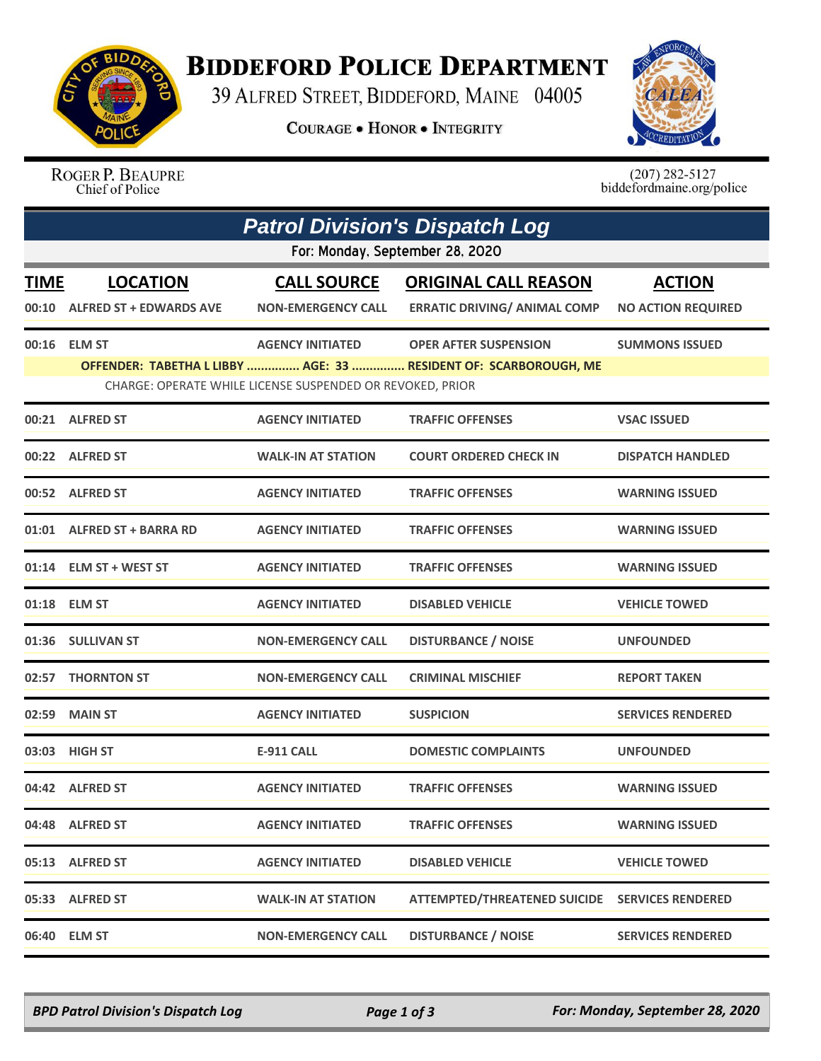

## **BIDDEFORD POLICE DEPARTMENT**

39 ALFRED STREET, BIDDEFORD, MAINE 04005

**COURAGE . HONOR . INTEGRITY** 



ROGER P. BEAUPRE Chief of Police

 $(207)$  282-5127<br>biddefordmaine.org/police

| <b>Patrol Division's Dispatch Log</b><br>For: Monday, September 28, 2020 |                                                   |                                                                                      |                                                                                                  |                                            |  |  |  |
|--------------------------------------------------------------------------|---------------------------------------------------|--------------------------------------------------------------------------------------|--------------------------------------------------------------------------------------------------|--------------------------------------------|--|--|--|
| <b>TIME</b><br>00:10                                                     | <b>LOCATION</b><br><b>ALFRED ST + EDWARDS AVE</b> | <b>CALL SOURCE</b><br><b>NON-EMERGENCY CALL</b>                                      | <b>ORIGINAL CALL REASON</b><br><b>ERRATIC DRIVING/ ANIMAL COMP</b>                               | <b>ACTION</b><br><b>NO ACTION REQUIRED</b> |  |  |  |
|                                                                          | 00:16 ELM ST                                      | <b>AGENCY INITIATED</b><br>CHARGE: OPERATE WHILE LICENSE SUSPENDED OR REVOKED, PRIOR | <b>OPER AFTER SUSPENSION</b><br>OFFENDER: TABETHA L LIBBY  AGE: 33  RESIDENT OF: SCARBOROUGH, ME | <b>SUMMONS ISSUED</b>                      |  |  |  |
|                                                                          | 00:21 ALFRED ST                                   | <b>AGENCY INITIATED</b>                                                              | <b>TRAFFIC OFFENSES</b>                                                                          | <b>VSAC ISSUED</b>                         |  |  |  |
|                                                                          | 00:22 ALFRED ST                                   | <b>WALK-IN AT STATION</b>                                                            | <b>COURT ORDERED CHECK IN</b>                                                                    | <b>DISPATCH HANDLED</b>                    |  |  |  |
|                                                                          | 00:52 ALFRED ST                                   | <b>AGENCY INITIATED</b>                                                              | <b>TRAFFIC OFFENSES</b>                                                                          | <b>WARNING ISSUED</b>                      |  |  |  |
|                                                                          | 01:01 ALFRED ST + BARRA RD                        | <b>AGENCY INITIATED</b>                                                              | <b>TRAFFIC OFFENSES</b>                                                                          | <b>WARNING ISSUED</b>                      |  |  |  |
|                                                                          | 01:14 ELM ST + WEST ST                            | <b>AGENCY INITIATED</b>                                                              | <b>TRAFFIC OFFENSES</b>                                                                          | <b>WARNING ISSUED</b>                      |  |  |  |
|                                                                          | 01:18 ELM ST                                      | <b>AGENCY INITIATED</b>                                                              | <b>DISABLED VEHICLE</b>                                                                          | <b>VEHICLE TOWED</b>                       |  |  |  |
|                                                                          | 01:36 SULLIVAN ST                                 | <b>NON-EMERGENCY CALL</b>                                                            | <b>DISTURBANCE / NOISE</b>                                                                       | <b>UNFOUNDED</b>                           |  |  |  |
| 02:57                                                                    | <b>THORNTON ST</b>                                | <b>NON-EMERGENCY CALL</b>                                                            | <b>CRIMINAL MISCHIEF</b>                                                                         | <b>REPORT TAKEN</b>                        |  |  |  |
| 02:59                                                                    | <b>MAIN ST</b>                                    | <b>AGENCY INITIATED</b>                                                              | <b>SUSPICION</b>                                                                                 | <b>SERVICES RENDERED</b>                   |  |  |  |
|                                                                          | 03:03 HIGH ST                                     | <b>E-911 CALL</b>                                                                    | <b>DOMESTIC COMPLAINTS</b>                                                                       | <b>UNFOUNDED</b>                           |  |  |  |
|                                                                          | 04:42 ALFRED ST                                   | <b>AGENCY INITIATED</b>                                                              | <b>TRAFFIC OFFENSES</b>                                                                          | <b>WARNING ISSUED</b>                      |  |  |  |
|                                                                          | 04:48 ALFRED ST                                   | <b>AGENCY INITIATED</b>                                                              | <b>TRAFFIC OFFENSES</b>                                                                          | <b>WARNING ISSUED</b>                      |  |  |  |
|                                                                          | 05:13 ALFRED ST                                   | <b>AGENCY INITIATED</b>                                                              | <b>DISABLED VEHICLE</b>                                                                          | <b>VEHICLE TOWED</b>                       |  |  |  |
|                                                                          | 05:33 ALFRED ST                                   | <b>WALK-IN AT STATION</b>                                                            | ATTEMPTED/THREATENED SUICIDE SERVICES RENDERED                                                   |                                            |  |  |  |
|                                                                          | 06:40 ELM ST                                      | <b>NON-EMERGENCY CALL</b>                                                            | <b>DISTURBANCE / NOISE</b>                                                                       | <b>SERVICES RENDERED</b>                   |  |  |  |

*BPD Patrol Division's Dispatch Log Page 1 of 3 For: Monday, September 28, 2020*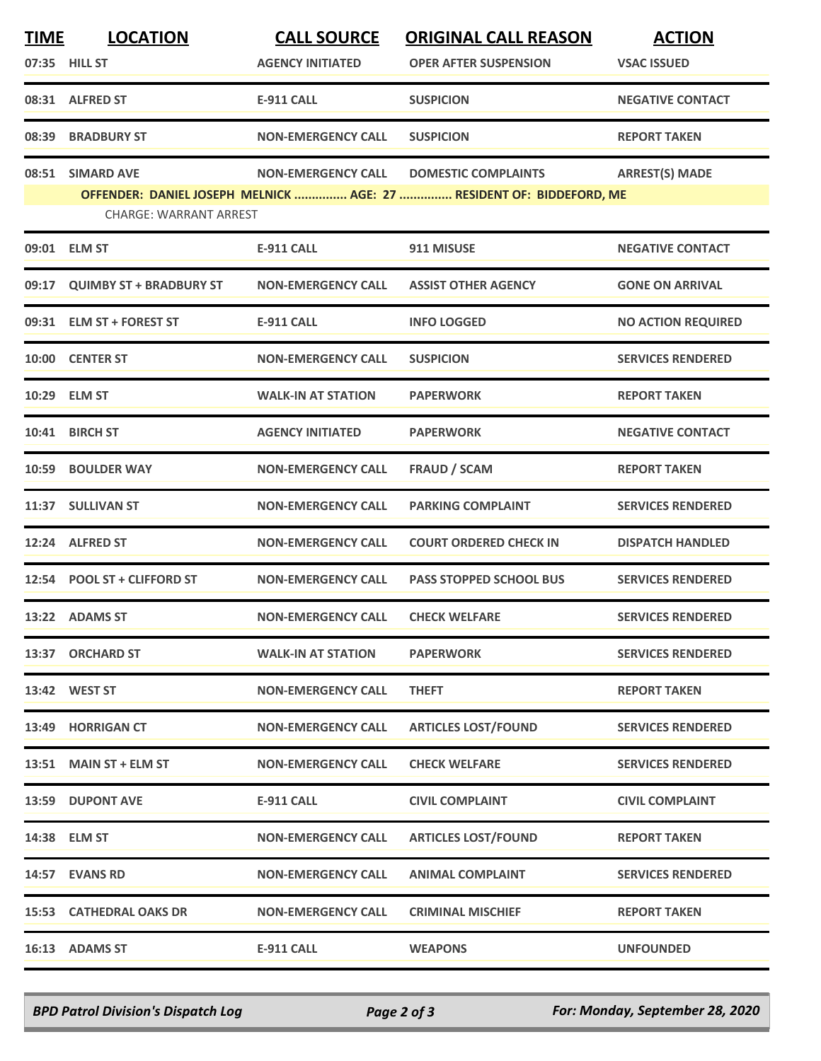| <b>TIME</b> | <b>LOCATION</b><br>07:35 HILL ST | <b>CALL SOURCE</b><br><b>AGENCY INITIATED</b> | <b>ORIGINAL CALL REASON</b><br><b>OPER AFTER SUSPENSION</b>          | <b>ACTION</b><br><b>VSAC ISSUED</b> |
|-------------|----------------------------------|-----------------------------------------------|----------------------------------------------------------------------|-------------------------------------|
|             | 08:31 ALFRED ST                  | <b>E-911 CALL</b>                             | <b>SUSPICION</b>                                                     | <b>NEGATIVE CONTACT</b>             |
|             | 08:39 BRADBURY ST                | <b>NON-EMERGENCY CALL</b>                     | <b>SUSPICION</b>                                                     | <b>REPORT TAKEN</b>                 |
|             | 08:51 SIMARD AVE                 | <b>NON-EMERGENCY CALL</b>                     | <b>DOMESTIC COMPLAINTS</b>                                           | <b>ARREST(S) MADE</b>               |
|             | <b>CHARGE: WARRANT ARREST</b>    |                                               | OFFENDER: DANIEL JOSEPH MELNICK  AGE: 27  RESIDENT OF: BIDDEFORD, ME |                                     |
|             | 09:01 ELM ST                     | E-911 CALL                                    | 911 MISUSE                                                           | <b>NEGATIVE CONTACT</b>             |
|             | 09:17 QUIMBY ST + BRADBURY ST    | <b>NON-EMERGENCY CALL</b>                     | <b>ASSIST OTHER AGENCY</b>                                           | <b>GONE ON ARRIVAL</b>              |
|             | 09:31 ELM ST + FOREST ST         | <b>E-911 CALL</b>                             | <b>INFO LOGGED</b>                                                   | <b>NO ACTION REQUIRED</b>           |
|             | 10:00 CENTER ST                  | <b>NON-EMERGENCY CALL</b>                     | <b>SUSPICION</b>                                                     | <b>SERVICES RENDERED</b>            |
|             | 10:29 ELM ST                     | <b>WALK-IN AT STATION</b>                     | <b>PAPERWORK</b>                                                     | <b>REPORT TAKEN</b>                 |
|             | 10:41 BIRCH ST                   | <b>AGENCY INITIATED</b>                       | <b>PAPERWORK</b>                                                     | <b>NEGATIVE CONTACT</b>             |
|             | 10:59 BOULDER WAY                | <b>NON-EMERGENCY CALL</b>                     | <b>FRAUD / SCAM</b>                                                  | <b>REPORT TAKEN</b>                 |
|             | 11:37 SULLIVAN ST                | <b>NON-EMERGENCY CALL</b>                     | <b>PARKING COMPLAINT</b>                                             | <b>SERVICES RENDERED</b>            |
|             | 12:24 ALFRED ST                  | <b>NON-EMERGENCY CALL</b>                     | <b>COURT ORDERED CHECK IN</b>                                        | <b>DISPATCH HANDLED</b>             |
|             | 12:54 POOL ST + CLIFFORD ST      | <b>NON-EMERGENCY CALL</b>                     | <b>PASS STOPPED SCHOOL BUS</b>                                       | <b>SERVICES RENDERED</b>            |
|             | 13:22 ADAMS ST                   | <b>NON-EMERGENCY CALL</b>                     | <b>CHECK WELFARE</b>                                                 | <b>SERVICES RENDERED</b>            |
|             | 13:37 ORCHARD ST                 | <b>WALK-IN AT STATION</b>                     | <b>PAPERWORK</b>                                                     | <b>SERVICES RENDERED</b>            |
|             | 13:42 WEST ST                    | <b>NON-EMERGENCY CALL</b>                     | <b>THEFT</b>                                                         | <b>REPORT TAKEN</b>                 |
|             | 13:49 HORRIGAN CT                | <b>NON-EMERGENCY CALL</b>                     | <b>ARTICLES LOST/FOUND</b>                                           | <b>SERVICES RENDERED</b>            |
|             | 13:51 MAIN ST + ELM ST           | <b>NON-EMERGENCY CALL</b>                     | <b>CHECK WELFARE</b>                                                 | <b>SERVICES RENDERED</b>            |
|             | 13:59 DUPONT AVE                 | <b>E-911 CALL</b>                             | <b>CIVIL COMPLAINT</b>                                               | <b>CIVIL COMPLAINT</b>              |
|             | 14:38 ELM ST                     | <b>NON-EMERGENCY CALL</b>                     | <b>ARTICLES LOST/FOUND</b>                                           | <b>REPORT TAKEN</b>                 |
|             | 14:57 EVANS RD                   | <b>NON-EMERGENCY CALL</b>                     | <b>ANIMAL COMPLAINT</b>                                              | <b>SERVICES RENDERED</b>            |
|             | 15:53 CATHEDRAL OAKS DR          | <b>NON-EMERGENCY CALL</b>                     | <b>CRIMINAL MISCHIEF</b>                                             | <b>REPORT TAKEN</b>                 |
|             | 16:13 ADAMS ST                   | <b>E-911 CALL</b>                             | <b>WEAPONS</b>                                                       | <b>UNFOUNDED</b>                    |

*BPD Patrol Division's Dispatch Log Page 2 of 3 For: Monday, September 28, 2020*